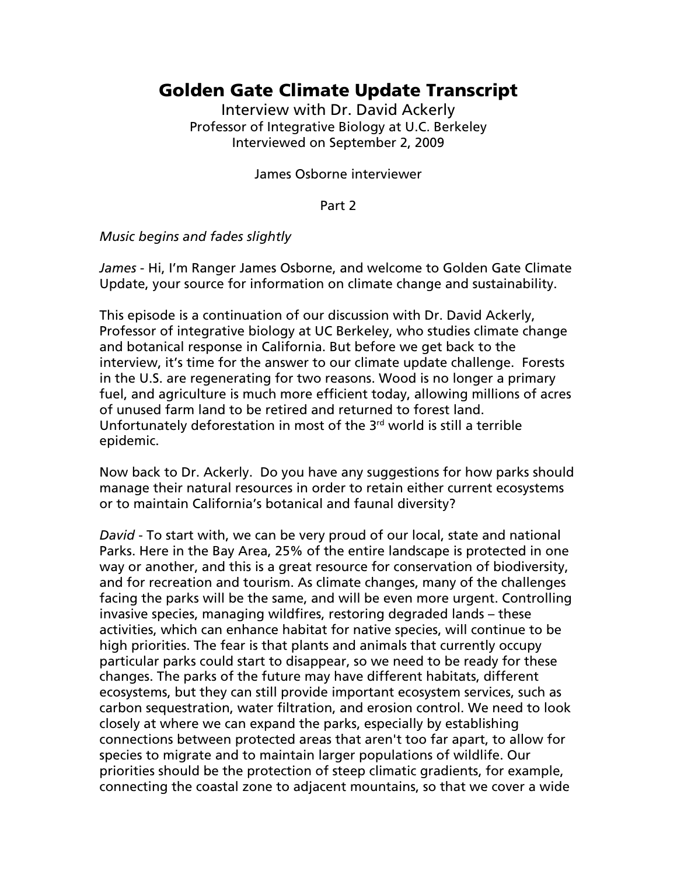## Golden Gate Climate Update Transcript

Interview with Dr. David Ackerly Professor of Integrative Biology at U.C. Berkeley Interviewed on September 2, 2009

James Osborne interviewer

Part 2

*Music begins and fades slightly* 

*James* - Hi, I'm Ranger James Osborne, and welcome to Golden Gate Climate Update, your source for information on climate change and sustainability.

This episode is a continuation of our discussion with Dr. David Ackerly, Professor of integrative biology at UC Berkeley, who studies climate change and botanical response in California. But before we get back to the interview, it's time for the answer to our climate update challenge. Forests in the U.S. are regenerating for two reasons. Wood is no longer a primary fuel, and agriculture is much more efficient today, allowing millions of acres of unused farm land to be retired and returned to forest land. Unfortunately deforestation in most of the 3<sup>rd</sup> world is still a terrible epidemic.

Now back to Dr. Ackerly. Do you have any suggestions for how parks should manage their natural resources in order to retain either current ecosystems or to maintain California's botanical and faunal diversity?

*David* - To start with, we can be very proud of our local, state and national Parks. Here in the Bay Area, 25% of the entire landscape is protected in one way or another, and this is a great resource for conservation of biodiversity, and for recreation and tourism. As climate changes, many of the challenges facing the parks will be the same, and will be even more urgent. Controlling invasive species, managing wildfires, restoring degraded lands – these activities, which can enhance habitat for native species, will continue to be high priorities. The fear is that plants and animals that currently occupy particular parks could start to disappear, so we need to be ready for these changes. The parks of the future may have different habitats, different ecosystems, but they can still provide important ecosystem services, such as carbon sequestration, water filtration, and erosion control. We need to look closely at where we can expand the parks, especially by establishing connections between protected areas that aren't too far apart, to allow for species to migrate and to maintain larger populations of wildlife. Our priorities should be the protection of steep climatic gradients, for example, connecting the coastal zone to adjacent mountains, so that we cover a wide